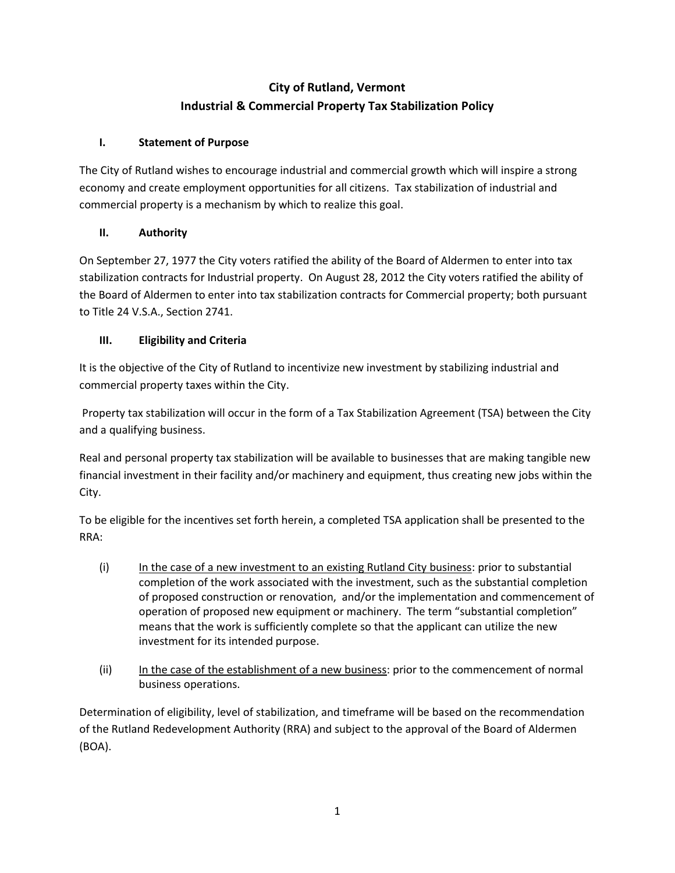# **City of Rutland, Vermont Industrial & Commercial Property Tax Stabilization Policy**

## **I. Statement of Purpose**

The City of Rutland wishes to encourage industrial and commercial growth which will inspire a strong economy and create employment opportunities for all citizens. Tax stabilization of industrial and commercial property is a mechanism by which to realize this goal.

## **II. Authority**

On September 27, 1977 the City voters ratified the ability of the Board of Aldermen to enter into tax stabilization contracts for Industrial property. On August 28, 2012 the City voters ratified the ability of the Board of Aldermen to enter into tax stabilization contracts for Commercial property; both pursuant to Title 24 V.S.A., Section 2741.

## **III. Eligibility and Criteria**

It is the objective of the City of Rutland to incentivize new investment by stabilizing industrial and commercial property taxes within the City.

Property tax stabilization will occur in the form of a Tax Stabilization Agreement (TSA) between the City and a qualifying business.

Real and personal property tax stabilization will be available to businesses that are making tangible new financial investment in their facility and/or machinery and equipment, thus creating new jobs within the City.

To be eligible for the incentives set forth herein, a completed TSA application shall be presented to the RRA:

- (i) In the case of a new investment to an existing Rutland City business: prior to substantial completion of the work associated with the investment, such as the substantial completion of proposed construction or renovation, and/or the implementation and commencement of operation of proposed new equipment or machinery. The term "substantial completion" means that the work is sufficiently complete so that the applicant can utilize the new investment for its intended purpose.
- (ii) In the case of the establishment of a new business: prior to the commencement of normal business operations.

Determination of eligibility, level of stabilization, and timeframe will be based on the recommendation of the Rutland Redevelopment Authority (RRA) and subject to the approval of the Board of Aldermen (BOA).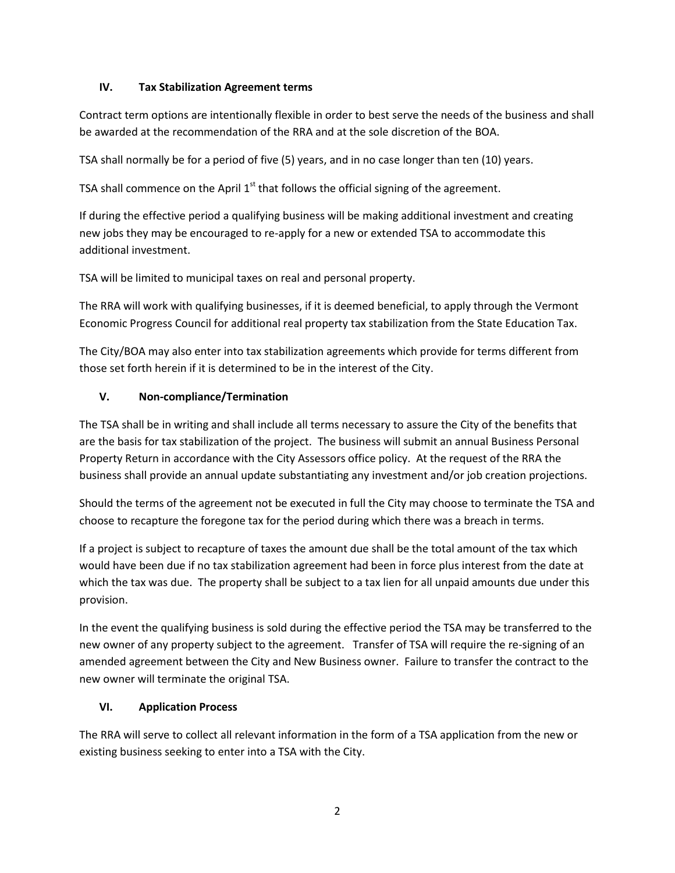### **IV. Tax Stabilization Agreement terms**

Contract term options are intentionally flexible in order to best serve the needs of the business and shall be awarded at the recommendation of the RRA and at the sole discretion of the BOA.

TSA shall normally be for a period of five (5) years, and in no case longer than ten (10) years.

TSA shall commence on the April  $1<sup>st</sup>$  that follows the official signing of the agreement.

If during the effective period a qualifying business will be making additional investment and creating new jobs they may be encouraged to re-apply for a new or extended TSA to accommodate this additional investment.

TSA will be limited to municipal taxes on real and personal property.

The RRA will work with qualifying businesses, if it is deemed beneficial, to apply through the Vermont Economic Progress Council for additional real property tax stabilization from the State Education Tax.

The City/BOA may also enter into tax stabilization agreements which provide for terms different from those set forth herein if it is determined to be in the interest of the City.

### **V. Non-compliance/Termination**

The TSA shall be in writing and shall include all terms necessary to assure the City of the benefits that are the basis for tax stabilization of the project. The business will submit an annual Business Personal Property Return in accordance with the City Assessors office policy. At the request of the RRA the business shall provide an annual update substantiating any investment and/or job creation projections.

Should the terms of the agreement not be executed in full the City may choose to terminate the TSA and choose to recapture the foregone tax for the period during which there was a breach in terms.

If a project is subject to recapture of taxes the amount due shall be the total amount of the tax which would have been due if no tax stabilization agreement had been in force plus interest from the date at which the tax was due. The property shall be subject to a tax lien for all unpaid amounts due under this provision.

In the event the qualifying business is sold during the effective period the TSA may be transferred to the new owner of any property subject to the agreement. Transfer of TSA will require the re-signing of an amended agreement between the City and New Business owner. Failure to transfer the contract to the new owner will terminate the original TSA.

### **VI. Application Process**

The RRA will serve to collect all relevant information in the form of a TSA application from the new or existing business seeking to enter into a TSA with the City.